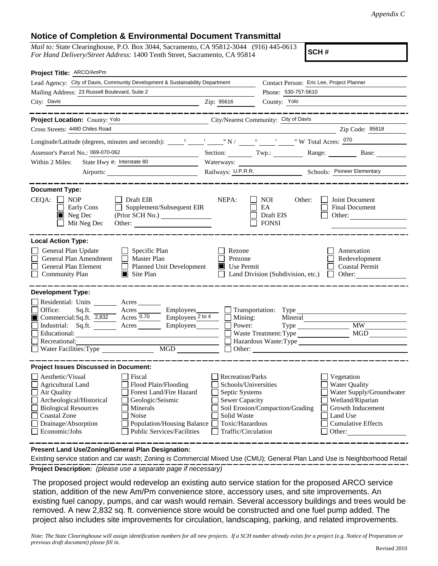## **Notice of Completion & Environmental Document Transmittal**

*Mail to:* State Clearinghouse, P.O. Box 3044, Sacramento, CA 95812-3044 (916) 445-0613 *For Hand Delivery/Street Address:* 1400 Tenth Street, Sacramento, CA 95814

**SCH #**

| Project Title: ARCO/AmPm                                                                                                                                                                                                                                                                                                                                                    |                                                                                                                                                     |                                                                                                                                                                                               |
|-----------------------------------------------------------------------------------------------------------------------------------------------------------------------------------------------------------------------------------------------------------------------------------------------------------------------------------------------------------------------------|-----------------------------------------------------------------------------------------------------------------------------------------------------|-----------------------------------------------------------------------------------------------------------------------------------------------------------------------------------------------|
| Lead Agency: City of Davis, Community Development & Sustainability Department                                                                                                                                                                                                                                                                                               |                                                                                                                                                     | Contact Person: Eric Lee, Project Planner                                                                                                                                                     |
| Mailing Address: 23 Russell Boulevard, Suite 2                                                                                                                                                                                                                                                                                                                              |                                                                                                                                                     | Phone: 530-757-5610                                                                                                                                                                           |
| City: Davis<br><b>Example 21:</b> 25616                                                                                                                                                                                                                                                                                                                                     |                                                                                                                                                     | County: Yolo                                                                                                                                                                                  |
|                                                                                                                                                                                                                                                                                                                                                                             |                                                                                                                                                     |                                                                                                                                                                                               |
| Project Location: County: Yolo<br>City/Nearest Community: City of Davis                                                                                                                                                                                                                                                                                                     |                                                                                                                                                     |                                                                                                                                                                                               |
| Cross Streets: 4480 Chiles Road                                                                                                                                                                                                                                                                                                                                             |                                                                                                                                                     | Zip Code: 95618                                                                                                                                                                               |
|                                                                                                                                                                                                                                                                                                                                                                             |                                                                                                                                                     |                                                                                                                                                                                               |
| Assessor's Parcel No.: 069-070-062                                                                                                                                                                                                                                                                                                                                          |                                                                                                                                                     | Section: Twp.: Range: Base:                                                                                                                                                                   |
| State Hwy #: Interstate 80<br>Within 2 Miles:                                                                                                                                                                                                                                                                                                                               | Waterways:                                                                                                                                          |                                                                                                                                                                                               |
|                                                                                                                                                                                                                                                                                                                                                                             |                                                                                                                                                     | Railways: U.P.R.R. Schools: Pioneer Elementary                                                                                                                                                |
| <b>Document Type:</b>                                                                                                                                                                                                                                                                                                                                                       |                                                                                                                                                     |                                                                                                                                                                                               |
| $CEQA: \Box NP$<br>Draft EIR<br>Supplement/Subsequent EIR<br>$\Box$<br>Early Cons<br>$\blacksquare$ Neg Dec<br>Mit Neg Dec<br>Other:                                                                                                                                                                                                                                        | NEPA:                                                                                                                                               | $\blacksquare$ NOI<br>Other:<br>Joint Document<br>EA<br>Final Document<br>Draft EIS<br>Other:<br>$\Box$ FONSI                                                                                 |
| <b>Local Action Type:</b>                                                                                                                                                                                                                                                                                                                                                   |                                                                                                                                                     |                                                                                                                                                                                               |
| General Plan Update<br>$\Box$ Specific Plan<br>General Plan Amendment<br>$\Box$ Master Plan<br>General Plan Element<br>Planned Unit Development<br>$\blacksquare$ Site Plan<br>$\Box$<br><b>Community Plan</b>                                                                                                                                                              | Rezone<br>Prezone<br>$\blacksquare$ Use Permit                                                                                                      | Annexation<br>Redevelopment<br><b>Coastal Permit</b><br>Land Division (Subdivision, etc.) $\Box$<br>Other:                                                                                    |
| <b>Development Type:</b><br>Residential: Units _______ Acres_<br>□ Office: Sq.ft. 2,832 Acres <u>0.70</u> Employees Transportation: Type Commercial:Sq.ft. 2,832 Acres 0.70 Employees 2to 4 Mining: Minera<br>Employees $\frac{2 \text{ to } 4}{ }$<br>Industrial: Sq.ft. _______ Acres _______ Employees<br>Educational:<br>Recreational:<br>MGD<br>Water Facilities: Type | Power:                                                                                                                                              | Mineral<br><b>MW</b><br>MGD<br><b>Waste Treatment: Type</b><br>Hazardous Waste: Type<br>$\Box$ Other:                                                                                         |
| <b>Project Issues Discussed in Document:</b>                                                                                                                                                                                                                                                                                                                                |                                                                                                                                                     |                                                                                                                                                                                               |
| Aesthetic/Visual<br>Fiscal<br><b>Agricultural Land</b><br>Flood Plain/Flooding<br>Forest Land/Fire Hazard<br>Air Quality<br>$\Box$<br>Archeological/Historical<br>Geologic/Seismic<br><b>Biological Resources</b><br>Minerals<br><b>Coastal Zone</b><br>Noise<br>Drainage/Absorption<br>Population/Housing Balance<br>Economic/Jobs<br><b>Public Services/Facilities</b>    | <b>Recreation/Parks</b><br>Schools/Universities<br>Septic Systems<br><b>Sewer Capacity</b><br>Solid Waste<br>Toxic/Hazardous<br>Traffic/Circulation | Vegetation<br><b>Water Quality</b><br>Water Supply/Groundwater<br>Wetland/Riparian<br>Soil Erosion/Compaction/Grading<br>Growth Inducement<br>Land Use<br><b>Cumulative Effects</b><br>Other: |

**Present Land Use/Zoning/General Plan Designation:**

**Project Description:** *(please use a separate page if necessary)* Existing service station and car wash; Zoning is Commercial Mixed Use (CMU); General Plan Land Use is Neighborhood Retail

 The proposed project would redevelop an existing auto service station for the proposed ARCO service station, addition of the new Am/Pm convenience store, accessory uses, and site improvements. An existing fuel canopy, pumps, and car wash would remain. Several accessory buildings and trees would be removed. A new 2,832 sq. ft. convenience store would be constructed and one fuel pump added. The project also includes site improvements for circulation, landscaping, parking, and related improvements.

*Note: The State Clearinghouse will assign identification numbers for all new projects. If a SCH number already exists for a project (e.g. Notice of Preparation or previous draft document) please fill in.*